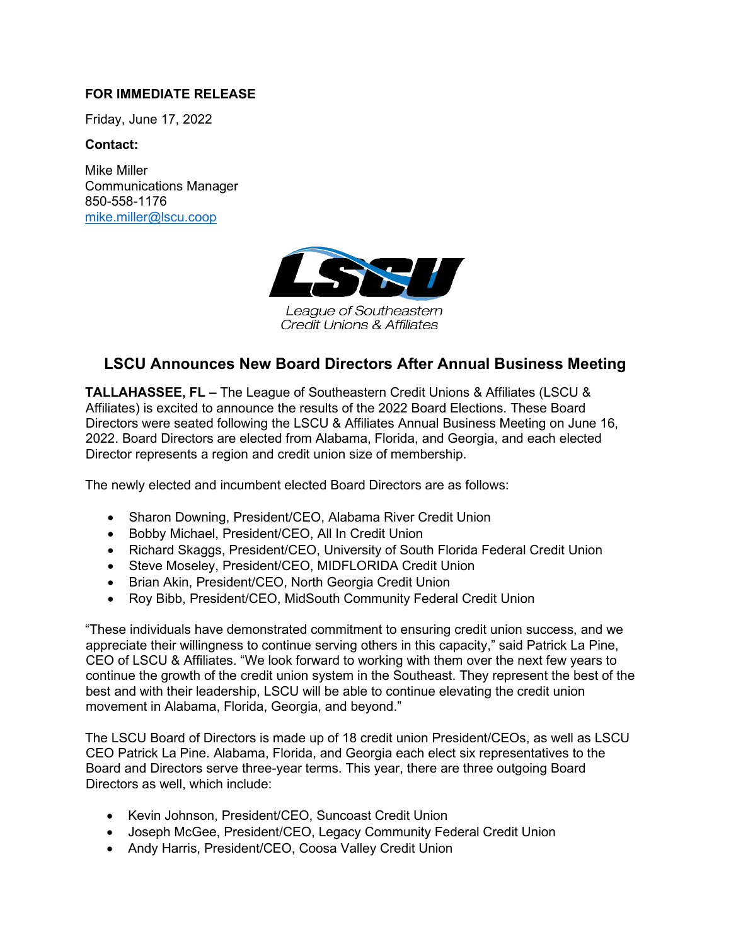## **FOR IMMEDIATE RELEASE**

Friday, June 17, 2022

## **Contact:**

Mike Miller Communications Manager 850-558-1176 [mike.miller@lscu.coop](mailto:mike.miller@lscu.coop)



League of Southeastern Credit Unions & Affiliates

# **LSCU Announces New Board Directors After Annual Business Meeting**

**TALLAHASSEE, FL –** The League of Southeastern Credit Unions & Affiliates (LSCU & Affiliates) is excited to announce the results of the 2022 Board Elections. These Board Directors were seated following the LSCU & Affiliates Annual Business Meeting on June 16, 2022. Board Directors are elected from Alabama, Florida, and Georgia, and each elected Director represents a region and credit union size of membership.

The newly elected and incumbent elected Board Directors are as follows:

- Sharon Downing, President/CEO, Alabama River Credit Union
- Bobby Michael, President/CEO, All In Credit Union
- Richard Skaggs, President/CEO, University of South Florida Federal Credit Union
- Steve Moseley, President/CEO, MIDFLORIDA Credit Union
- Brian Akin, President/CEO, North Georgia Credit Union
- Roy Bibb, President/CEO, MidSouth Community Federal Credit Union

"These individuals have demonstrated commitment to ensuring credit union success, and we appreciate their willingness to continue serving others in this capacity," said Patrick La Pine, CEO of LSCU & Affiliates. "We look forward to working with them over the next few years to continue the growth of the credit union system in the Southeast. They represent the best of the best and with their leadership, LSCU will be able to continue elevating the credit union movement in Alabama, Florida, Georgia, and beyond."

The LSCU Board of Directors is made up of 18 credit union President/CEOs, as well as LSCU CEO Patrick La Pine. Alabama, Florida, and Georgia each elect six representatives to the Board and Directors serve three-year terms. This year, there are three outgoing Board Directors as well, which include:

- Kevin Johnson, President/CEO, Suncoast Credit Union
- Joseph McGee, President/CEO, Legacy Community Federal Credit Union
- Andy Harris, President/CEO, Coosa Valley Credit Union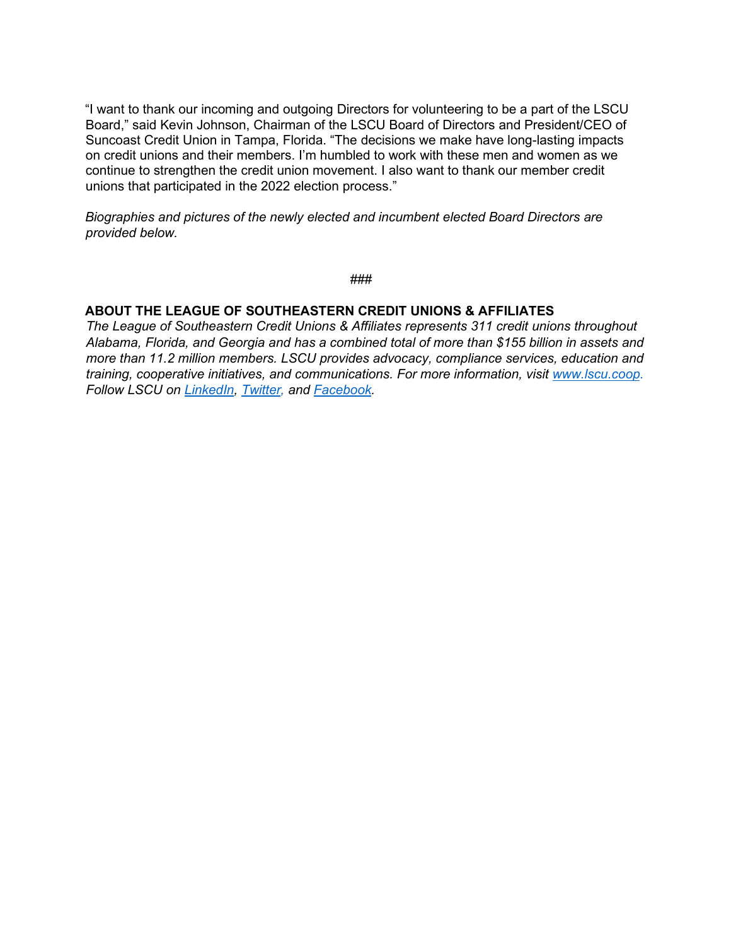"I want to thank our incoming and outgoing Directors for volunteering to be a part of the LSCU Board," said Kevin Johnson, Chairman of the LSCU Board of Directors and President/CEO of Suncoast Credit Union in Tampa, Florida. "The decisions we make have long-lasting impacts on credit unions and their members. I'm humbled to work with these men and women as we continue to strengthen the credit union movement. I also want to thank our member credit unions that participated in the 2022 election process."

*Biographies and pictures of the newly elected and incumbent elected Board Directors are provided below.* 

###

## **ABOUT THE LEAGUE OF SOUTHEASTERN CREDIT UNIONS & AFFILIATES**

*The League of Southeastern Credit Unions & Affiliates represents 311 credit unions throughout Alabama, Florida, and Georgia and has a combined total of more than \$155 billion in assets and more than 11.2 million members. LSCU provides advocacy, compliance services, education and training, cooperative initiatives, and communications. For more information, visit [www.lscu.coop.](http://www.lscu.coop/) Follow LSCU on [LinkedIn,](https://www.linkedin.com/company/league-of-southeastern-credit-unions/mycompany/) [Twitter,](https://twitter.com/LeagueofSECUs?ref_src=twsrc%5Egoogle%7Ctwcamp%5Eserp%7Ctwgr%5Eauthor) an[d](https://www.facebook.com/LeagueofSoutheasternCreditUnions/) [Facebook.](https://www.facebook.com/LeagueofSoutheasternCreditUnions/)*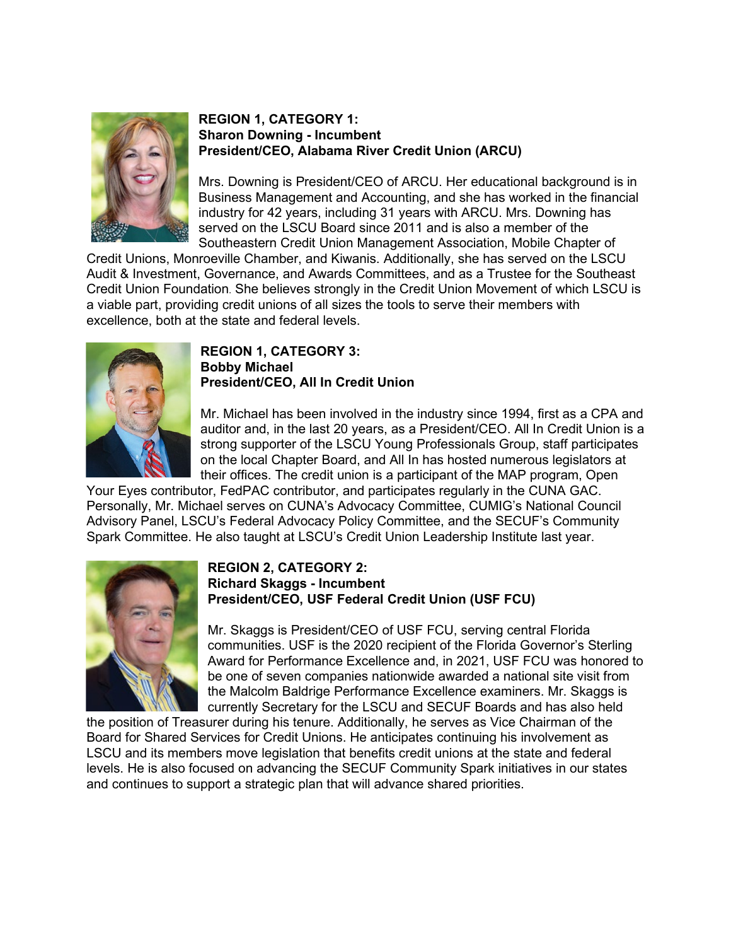

#### **REGION 1, CATEGORY 1: Sharon Downing - Incumbent President/CEO, Alabama River Credit Union (ARCU)**

Mrs. Downing is President/CEO of ARCU. Her educational background is in Business Management and Accounting, and she has worked in the financial industry for 42 years, including 31 years with ARCU. Mrs. Downing has served on the LSCU Board since 2011 and is also a member of the Southeastern Credit Union Management Association, Mobile Chapter of

Credit Unions, Monroeville Chamber, and Kiwanis. Additionally, she has served on the LSCU Audit & Investment, Governance, and Awards Committees, and as a Trustee for the Southeast Credit Union Foundation. She believes strongly in the Credit Union Movement of which LSCU is a viable part, providing credit unions of all sizes the tools to serve their members with excellence, both at the state and federal levels.



#### **REGION 1, CATEGORY 3: Bobby Michael President/CEO, All In Credit Union**

Mr. Michael has been involved in the industry since 1994, first as a CPA and auditor and, in the last 20 years, as a President/CEO. All In Credit Union is a strong supporter of the LSCU Young Professionals Group, staff participates on the local Chapter Board, and All In has hosted numerous legislators at their offices. The credit union is a participant of the MAP program, Open

Your Eyes contributor, FedPAC contributor, and participates regularly in the CUNA GAC. Personally, Mr. Michael serves on CUNA's Advocacy Committee, CUMIG's National Council Advisory Panel, LSCU's Federal Advocacy Policy Committee, and the SECUF's Community Spark Committee. He also taught at LSCU's Credit Union Leadership Institute last year.



## **REGION 2, CATEGORY 2: Richard Skaggs - Incumbent President/CEO, USF Federal Credit Union (USF FCU)**

Mr. Skaggs is President/CEO of USF FCU, serving central Florida communities. USF is the 2020 recipient of the Florida Governor's Sterling Award for Performance Excellence and, in 2021, USF FCU was honored to be one of seven companies nationwide awarded a national site visit from the Malcolm Baldrige Performance Excellence examiners. Mr. Skaggs is currently Secretary for the LSCU and SECUF Boards and has also held

the position of Treasurer during his tenure. Additionally, he serves as Vice Chairman of the Board for Shared Services for Credit Unions. He anticipates continuing his involvement as LSCU and its members move legislation that benefits credit unions at the state and federal levels. He is also focused on advancing the SECUF Community Spark initiatives in our states and continues to support a strategic plan that will advance shared priorities.